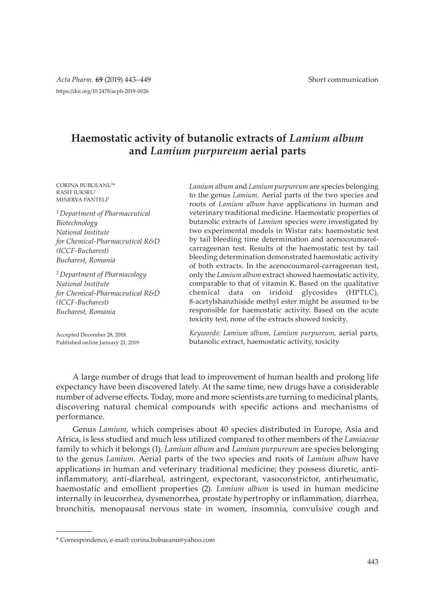# **Haemostatic activity of butanolic extracts of** *Lamium album* **and** *Lamium purpureum* **aerial parts**

CORINA BUBUEANU<sup>1</sup> \* RASIT IUKSEL<sup>2</sup> MINERVA PANTELI<sup>2</sup>

*1 Department of Pharmaceutical Biotechnology National Institute for Chemical-Pharmaceutical R&D (ICCF-Bucharest) Bucharest, Romania*

*2 Department of Pharmacology National Institute for Chemical-Pharmaceutical R&D (ICCF-Bucharest) Bucharest, Romania*

Accepted December 28, 2018 Published online January 21, 2019 *Lamium album* and *Lamium purpureum* are species belonging to the genus *Lamium*. Aerial parts of the two species and roots of *Lamium album* have applications in human and veterinary traditional medicine. Haemostatic properties of butanolic extracts of *Lamium* species were investigated by two experimental models in Wistar rats: haemostatic test by tail bleeding time determination and acenocoumarolcarrageenan test. Results of the haemostatic test by tail bleeding determination demonstrated haemostatic activity of both extracts. In the acenocoumarol-carrageenan test, only the *Lamium album* extract showed haemostatic activity, comparable to that of vitamin K. Based on the qualitative chemical data on iridoid glycosides (HPTLC), 8-acetylshanzhiside methyl ester might be assumed to be responsible for haemostatic activity. Based on the acute toxicity test, none of the extracts showed toxicity.

*Keywords: Lamium album, Lamium purpureum*, aerial parts, butanolic extract, haemostatic activity, toxicity

A large number of drugs that lead to improvement of human health and prolong life expectancy have been discovered lately. At the same time, new drugs have a considerable number of adverse effects. Today, more and more scientists are turning to medicinal plants, discovering natural chemical compounds with specific actions and mechanisms of performance.

Genus *Lamium*, which comprises about 40 species distributed in Europe, Asia and Africa, is less studied and much less utilized compared to other members of the *Lamiaceae* family to which it belongs (1). *Lamium album* and *Lamium purpureum* are species belonging to the genus *Lamium*. Aerial parts of the two species and roots of *Lamium album* have applications in human and veterinary traditional medicine; they possess diuretic, antiinflammatory, anti-diarrheal, astringent, expectorant, vasoconstrictor, antirheumatic, haemostatic and emollient properties (2). *Lamium album* is used in human medicine internally in leucorrhea, dysmenorrhea, prostate hypertrophy or inflammation, diarrhea, bronchitis, menopausal nervous state in women, insomnia, convulsive cough and

<sup>\*</sup> Correspondence, e-mail: corina.bubueanu@yahoo.com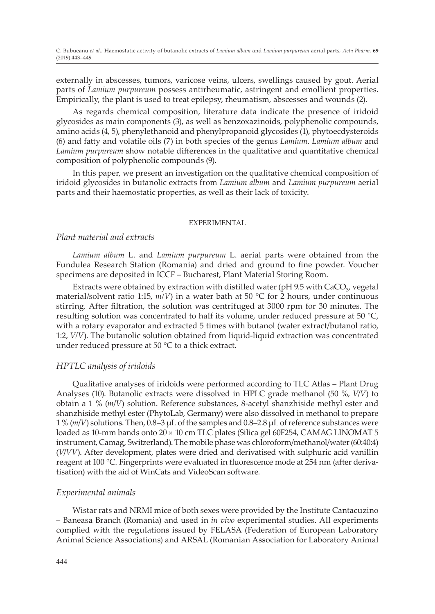externally in abscesses, tumors, varicose veins, ulcers, swellings caused by gout. Aerial parts of *Lamium purpureum* possess antirheumatic, astringent and emollient properties. Empirically, the plant is used to treat epilepsy, rheumatism, abscesses and wounds (2).

As regards chemical composition, literature data indicate the presence of iridoid glycosides as main components (3), as well as benzoxazinoids, polyphenolic compounds, amino acids (4, 5), phenylethanoid and phenylpropanoid glycosides (1), phytoecdysteroids (6) and fatty and volatile oils (7) in both species of the genus *Lamium*. *Lamium album* and *Lamium purpureum* show notable differences in the qualitative and quantitative chemical composition of polyphenolic compounds (9).

In this paper, we present an investigation on the qualitative chemical composition of iridoid glycosides in butanolic extracts from *Lamium album* and *Lamium purpureum* aerial parts and their haemostatic properties, as well as their lack of toxicity.

### EXPERIMENTAL

## *Plant material and extracts*

*Lamium album* L. and *Lamium purpureum* L. aerial parts were obtained from the Fundulea Research Station (Romania) and dried and ground to fine powder. Voucher specimens are deposited in ICCF – Bucharest, Plant Material Storing Room.

Extracts were obtained by extraction with distilled water (pH 9.5 with  $CaCO<sub>3</sub>$  vegetal material/solvent ratio 1:15, *m/V*) in a water bath at 50 °C for 2 hours, under continuous stirring. After filtration, the solution was centrifuged at 3000 rpm for 30 minutes. The resulting solution was concentrated to half its volume, under reduced pressure at 50  $^{\circ}C$ , with a rotary evaporator and extracted 5 times with butanol (water extract/butanol ratio, 1:2, *V/V*). The butanolic solution obtained from liquid-liquid extraction was concentrated under reduced pressure at 50 °C to a thick extract.

### *HPTLC analysis of iridoids*

Qualitative analyses of iridoids were performed according to TLC Atlas – Plant Drug Analyses (10). Butanolic extracts were dissolved in HPLC grade methanol (50 %, *V*/*V*) to obtain a 1 % (*m*/*V*) solution. Reference substances, 8-acetyl shanzhiside methyl ester and shanzhiside methyl ester (PhytoLab, Germany) were also dissolved in methanol to prepare 1 % (*m*/*V*) solutions. Then, 0.8–3 µL of the samples and 0.8–2.8 µL of reference substances were loaded as 10-mm bands onto  $20 \times 10$  cm TLC plates (Silica gel 60F254, CAMAG LINOMAT 5 instrument, Camag, Switzerland). The mobile phase was chloroform/methanol/water (60:40:4) (*V*/*VV*). After development, plates were dried and derivatised with sulphuric acid vanillin reagent at 100 °C. Fingerprints were evaluated in fluorescence mode at 254 nm (after derivatisation) with the aid of WinCats and VideoScan software.

### *Experimental animals*

Wistar rats and NRMI mice of both sexes were provided by the Institute Cantacuzino – Baneasa Branch (Romania) and used in *in vivo* experimental studies. All experiments complied with the regulations issued by FELASA (Federation of European Laboratory Animal Science Associations) and ARSAL (Romanian Association for Laboratory Animal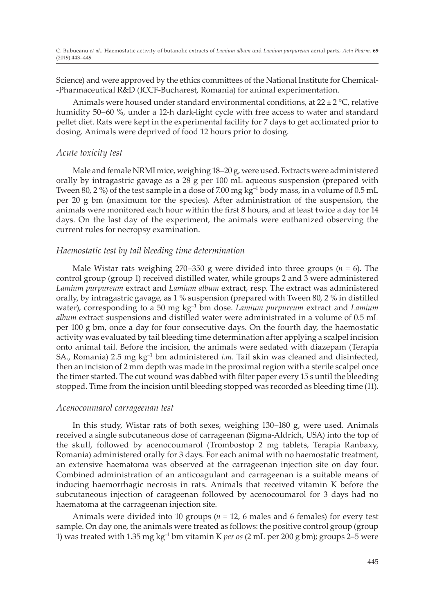Science) and were approved by the ethics committees of the National Institute for Chemical- -Pharmaceutical R&D (ICCF-Bucharest, Romania) for animal experimentation.

Animals were housed under standard environmental conditions, at  $22 \pm 2$  °C, relative humidity 50–60 %, under a 12-h dark-light cycle with free access to water and standard pellet diet. Rats were kept in the experimental facility for 7 days to get acclimated prior to dosing. Animals were deprived of food 12 hours prior to dosing.

### *Acute toxicity test*

Male and female NRMI mice, weighing 18–20 g, were used. Extracts were administered orally by intragastric gavage as a 28 g per 100 mL aqueous suspension (prepared with Tween 80, 2 %) of the test sample in a dose of 7.00 mg  $kg^{-1}$  body mass, in a volume of 0.5 mL per 20 g bm (maximum for the species). After administration of the suspension, the animals were monitored each hour within the first 8 hours, and at least twice a day for 14 days. On the last day of the experiment, the animals were euthanized observing the current rules for necropsy examination.

### *Haemostatic test by tail bleeding time determination*

Male Wistar rats weighing 270–350 g were divided into three groups  $(n = 6)$ . The control group (group 1) received distilled water, while groups 2 and 3 were administered *Lamium purpureum* extract and *Lamium album* extract, resp. The extract was administered orally, by intragastric gavage, as 1 % suspension (prepared with Tween 80, 2 % in distilled water), corresponding to a 50 mg kg–1 bm dose. *Lamium purpureum* extract and *Lamium album* extract suspensions and distilled water were administrated in a volume of 0.5 mL per 100 g bm, once a day for four consecutive days. On the fourth day, the haemostatic activity was evaluated by tail bleeding time determination after applying a scalpel incision onto animal tail. Before the incision, the animals were sedated with diazepam (Terapia SA., Romania) 2.5 mg kg–1 bm administered *i*.*m*. Tail skin was cleaned and disinfected, then an incision of 2 mm depth was made in the proximal region with a sterile scalpel once the timer started. The cut wound was dabbed with filter paper every 15 s until the bleeding stopped. Time from the incision until bleeding stopped was recorded as bleeding time (11).

### *Acenocoumarol carrageenan test*

In this study, Wistar rats of both sexes, weighing 130–180 g, were used. Animals received a single subcutaneous dose of carrageenan (Sigma-Aldrich, USA) into the top of the skull, followed by acenocoumarol (Trombostop 2 mg tablets, Terapia Ranbaxy, Romania) administered orally for 3 days. For each animal with no haemostatic treatment, an extensive haematoma was observed at the carrageenan injection site on day four. Combined administration of an anticoagulant and carrageenan is a suitable means of inducing haemorrhagic necrosis in rats. Animals that received vitamin K before the subcutaneous injection of carageenan followed by acenocoumarol for 3 days had no haematoma at the carrageenan injection site.

Animals were divided into 10 groups (*n* = 12, 6 males and 6 females) for every test sample. On day one, the animals were treated as follows: the positive control group (group 1) was treated with 1.35 mg kg–1 bm vitamin K *per os* (2 mL per 200 g bm); groups 2–5 were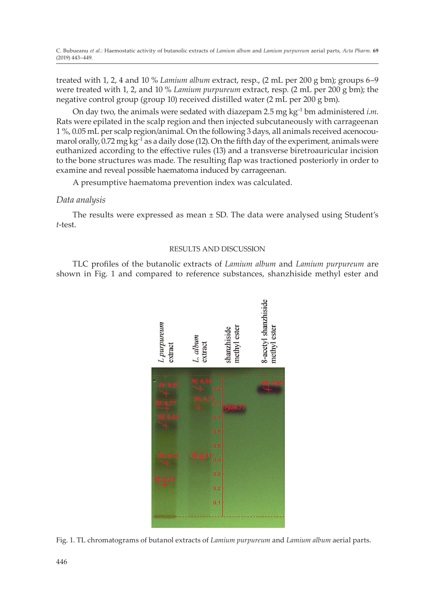treated with 1, 2, 4 and 10 % *Lamium album* extract, resp., (2 mL per 200 g bm); groups 6–9 were treated with 1, 2, and 10 % *Lamium purpureum* extract, resp. (2 mL per 200 g bm); the negative control group (group 10) received distilled water (2 mL per 200 g bm).

On day two, the animals were sedated with diazepam 2.5 mg kg–1 bm administered *i*.*m*. Rats were epilated in the scalp region and then injected subcutaneously with carrageenan 1 %, 0.05 mL per scalp region/animal. On the following 3 days, all animals received acenocoumarol orally,  $0.72$  mg kg<sup>-1</sup> as a daily dose (12). On the fifth day of the experiment, animals were euthanized according to the effective rules (13) and a transverse biretroauricular incision to the bone structures was made. The resulting flap was tractioned posteriorly in order to examine and reveal possible haematoma induced by carrageenan.

A presumptive haematoma prevention index was calculated.

# *Data analysis*

The results were expressed as mean  $\pm$  SD. The data were analysed using Student's *t*-test.

# RESULTS AND DISCUSSION

TLC profiles of the butanolic extracts of *Lamium album* and *Lamium purpureum* are shown in Fig. 1 and compared to reference substances, shanzhiside methyl ester and



Fig. 1. TL chromatograms of butanol extracts of *Lamium purpureum* and *Lamium album* aerial parts.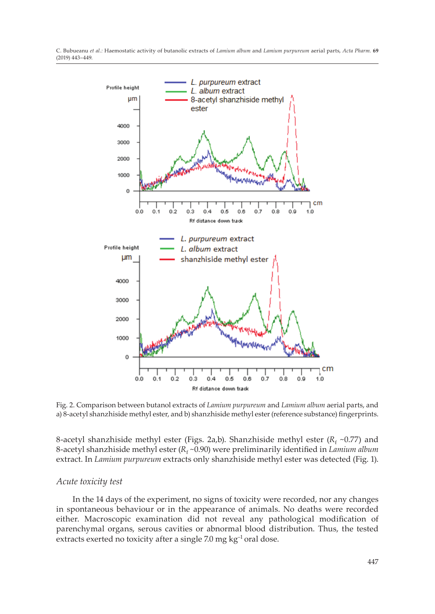

Fig. 2. Comparison between butanol extracts of *Lamium purpureum* and *Lamium album* aerial parts, and a) 8-acetyl shanzhiside methyl ester, and b) shanzhiside methyl ester (reference substance) fingerprints.

8-acetyl shanzhiside methyl ester (Figs. 2a,b). Shanzhiside methyl ester (R<sub>f</sub> ~0.77) and 8-acetyl shanzhiside methyl ester (*R<sub>t</sub>* ~0.90) were preliminarily identified in *Lamium album* extract. In *Lamium purpureum* extracts only shanzhiside methyl ester was detected (Fig. 1).

### *Acute toxicity test*

In the 14 days of the experiment, no signs of toxicity were recorded, nor any changes in spontaneous behaviour or in the appearance of animals. No deaths were recorded either. Macroscopic examination did not reveal any pathological modification of parenchymal organs, serous cavities or abnormal blood distribution. Thus, the tested extracts exerted no toxicity after a single 7.0 mg kg<sup>-1</sup> oral dose.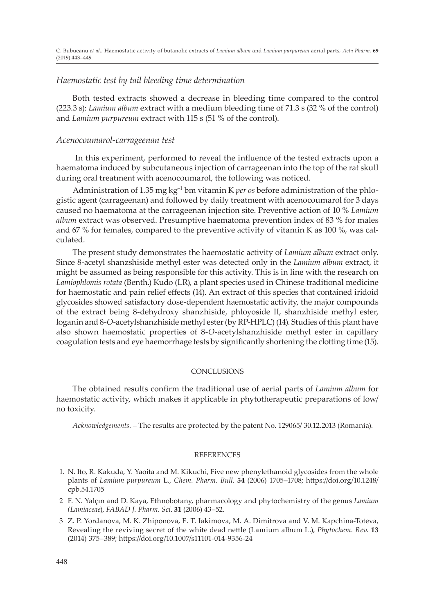# *Haemostatic test by tail bleeding time determination*

Both tested extracts showed a decrease in bleeding time compared to the control (223.3 s): *Lamium album* extract with a medium bleeding time of 71.3 s (32 % of the control) and *Lamium purpureum* extract with 115 s (51 % of the control).

# *Acenocoumarol-carrageenan test*

 In this experiment, performed to reveal the influence of the tested extracts upon a haematoma induced by subcutaneous injection of carrageenan into the top of the rat skull during oral treatment with acenocoumarol, the following was noticed.

Administration of 1.35 mg kg–1 bm vitamin K *per os* before administration of the phlogistic agent (carrageenan) and followed by daily treatment with acenocoumarol for 3 days caused no haematoma at the carrageenan injection site. Preventive action of 10 % *Lamium album* extract was observed. Presumptive haematoma prevention index of 83 % for males and 67 % for females, compared to the preventive activity of vitamin K as 100 %, was calculated.

The present study demonstrates the haemostatic activity of *Lamium album* extract only. Since 8-acetyl shanzshiside methyl ester was detected only in the *Lamium album* extract, it might be assumed as being responsible for this activity. This is in line with the research on *Lamiophlomis rotata* (Benth.) Kudo (LR), a plant species used in Chinese traditional medicine for haemostatic and pain relief effects (14). An extract of this species that contained iridoid glycosides showed satisfactory dose-dependent haemostatic activity, the major compounds of the extract being 8-dehydroxy shanzhiside, phloyoside II, shanzhiside methyl ester, loganin and 8-*O*-acetylshanzhiside methyl ester (by RP-HPLC) (14). Studies of this plant have also shown haemostatic properties of 8-*O*-acetylshanzhiside methyl ester in capillary coagulation tests and eye haemorrhage tests by significantly shortening the clotting time (15).

### **CONCLUSIONS**

The obtained results confirm the traditional use of aerial parts of *Lamium album* for haemostatic activity, which makes it applicable in phytotherapeutic preparations of low/ no toxicity.

*Acknowledgements.* – The results are protected by the patent No. 129065/ 30.12.2013 (Romania).

### **REFERENCES**

- 1. N. Ito, R. Kakuda, Y. Yaoita and M. Kikuchi, Five new phenylethanoid glycosides from the whole plants of *Lamium purpureum* L., *Chem. Pharm. Bull*. **54** (2006) 1705–1708; https://doi.org/10.1248/ cpb.54.1705
- 2 F. N. Yalçın and D. Kaya, Ethnobotany, pharmacology and phytochemistry of the genus *Lamium (Lamiaceae*), *FABAD J. Pharm. Sci*. **31** (2006) 43–52.
- 3 Z. P. Yordanova, M. K. Zhiponova, E. T. Iakimova, M. A. Dimitrova and V. M. Kapchina-Toteva, Revealing the reviving secret of the white dead nettle (Lamium album L.), *Phytochem. Rev*. **13** (2014) 375–389; https://doi.org/10.1007/s11101-014-9356-24